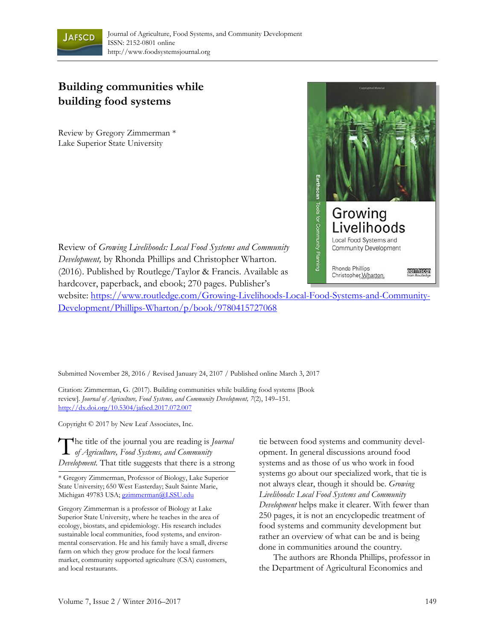

## **Building communities while building food systems**

Review by Gregory Zimmerman \* Lake Superior State University



Review of *Growing Livelihoods: Local Food Systems and Community Development,* by Rhonda Phillips and Christopher Wharton. (2016). Published by Routlege/Taylor & Francis. Available as hardcover, paperback, and ebook; 270 pages. Publisher's

website: [https://www.routledge.com/Growing-Livelihoods-Local-Food-Systems-and-Community-](https://www.routledge.com/Growing-Livelihoods-Local-Food-Systems-and-Community-Development/Phillips-Wharton/p/book/9780415727068)Development/Phillips-Wharton/p/book/9780415727068

Submitted November 28, 2016 / Revised January 24, 2107 / Published online March 3, 2017

Citation: Zimmerman, G. (2017). Building communities while building food systems [Book review]. *Journal of Agriculture, Food Systems, and Community Development, 7*(2), 149–151*.*  http://dx.doi.org/10.5304/jafscd.2017.072.007

Copyright © 2017 by New Leaf Associates, Inc.

The title of the journal you are reading is *Journal* of *Agriculture*, Food Systems, and Community *of Agriculture, Food Systems, and Community Development.* That title suggests that there is a strong

\* Gregory Zimmerman, Professor of Biology, Lake Superior State University; 650 West Easterday; Sault Sainte Marie, Michigan 49783 USA; gzimmerman@LSSU.edu

Gregory Zimmerman is a professor of Biology at Lake Superior State University, where he teaches in the area of ecology, biostats, and epidemiology. His research includes sustainable local communities, food systems, and environmental conservation. He and his family have a small, diverse farm on which they grow produce for the local farmers market, community supported agriculture (CSA) customers, and local restaurants.

tie between food systems and community development. In general discussions around food systems and as those of us who work in food systems go about our specialized work, that tie is not always clear, though it should be. *Growing Livelihoods: Local Food Systems and Community Development* helps make it clearer. With fewer than 250 pages, it is not an encyclopedic treatment of food systems and community development but rather an overview of what can be and is being done in communities around the country.

 The authors are Rhonda Phillips, professor in the Department of Agricultural Economics and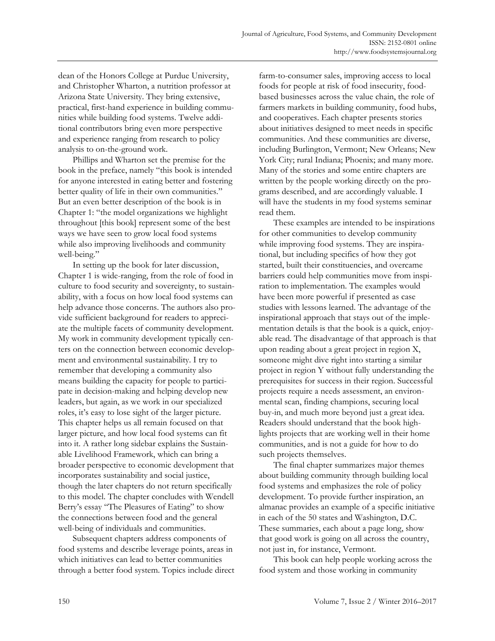dean of the Honors College at Purdue University, and Christopher Wharton, a nutrition professor at Arizona State University. They bring extensive, practical, first-hand experience in building communities while building food systems. Twelve additional contributors bring even more perspective and experience ranging from research to policy analysis to on-the-ground work.

 Phillips and Wharton set the premise for the book in the preface, namely "this book is intended for anyone interested in eating better and fostering better quality of life in their own communities." But an even better description of the book is in Chapter 1: "the model organizations we highlight throughout [this book] represent some of the best ways we have seen to grow local food systems while also improving livelihoods and community well-being."

 In setting up the book for later discussion, Chapter 1 is wide-ranging, from the role of food in culture to food security and sovereignty, to sustainability, with a focus on how local food systems can help advance those concerns. The authors also provide sufficient background for readers to appreciate the multiple facets of community development. My work in community development typically centers on the connection between economic development and environmental sustainability. I try to remember that developing a community also means building the capacity for people to participate in decision-making and helping develop new leaders, but again, as we work in our specialized roles, it's easy to lose sight of the larger picture. This chapter helps us all remain focused on that larger picture, and how local food systems can fit into it. A rather long sidebar explains the Sustainable Livelihood Framework, which can bring a broader perspective to economic development that incorporates sustainability and social justice, though the later chapters do not return specifically to this model. The chapter concludes with Wendell Berry's essay "The Pleasures of Eating" to show the connections between food and the general well-being of individuals and communities.

 Subsequent chapters address components of food systems and describe leverage points, areas in which initiatives can lead to better communities through a better food system. Topics include direct farm-to-consumer sales, improving access to local foods for people at risk of food insecurity, foodbased businesses across the value chain, the role of farmers markets in building community, food hubs, and cooperatives. Each chapter presents stories about initiatives designed to meet needs in specific communities. And these communities are diverse, including Burlington, Vermont; New Orleans; New York City; rural Indiana; Phoenix; and many more. Many of the stories and some entire chapters are written by the people working directly on the programs described, and are accordingly valuable. I will have the students in my food systems seminar read them.

 These examples are intended to be inspirations for other communities to develop community while improving food systems. They are inspirational, but including specifics of how they got started, built their constituencies, and overcame barriers could help communities move from inspiration to implementation. The examples would have been more powerful if presented as case studies with lessons learned. The advantage of the inspirational approach that stays out of the implementation details is that the book is a quick, enjoyable read. The disadvantage of that approach is that upon reading about a great project in region X, someone might dive right into starting a similar project in region Y without fully understanding the prerequisites for success in their region. Successful projects require a needs assessment, an environmental scan, finding champions, securing local buy-in, and much more beyond just a great idea. Readers should understand that the book highlights projects that are working well in their home communities, and is not a guide for how to do such projects themselves.

 The final chapter summarizes major themes about building community through building local food systems and emphasizes the role of policy development. To provide further inspiration, an almanac provides an example of a specific initiative in each of the 50 states and Washington, D.C. These summaries, each about a page long, show that good work is going on all across the country, not just in, for instance, Vermont.

 This book can help people working across the food system and those working in community